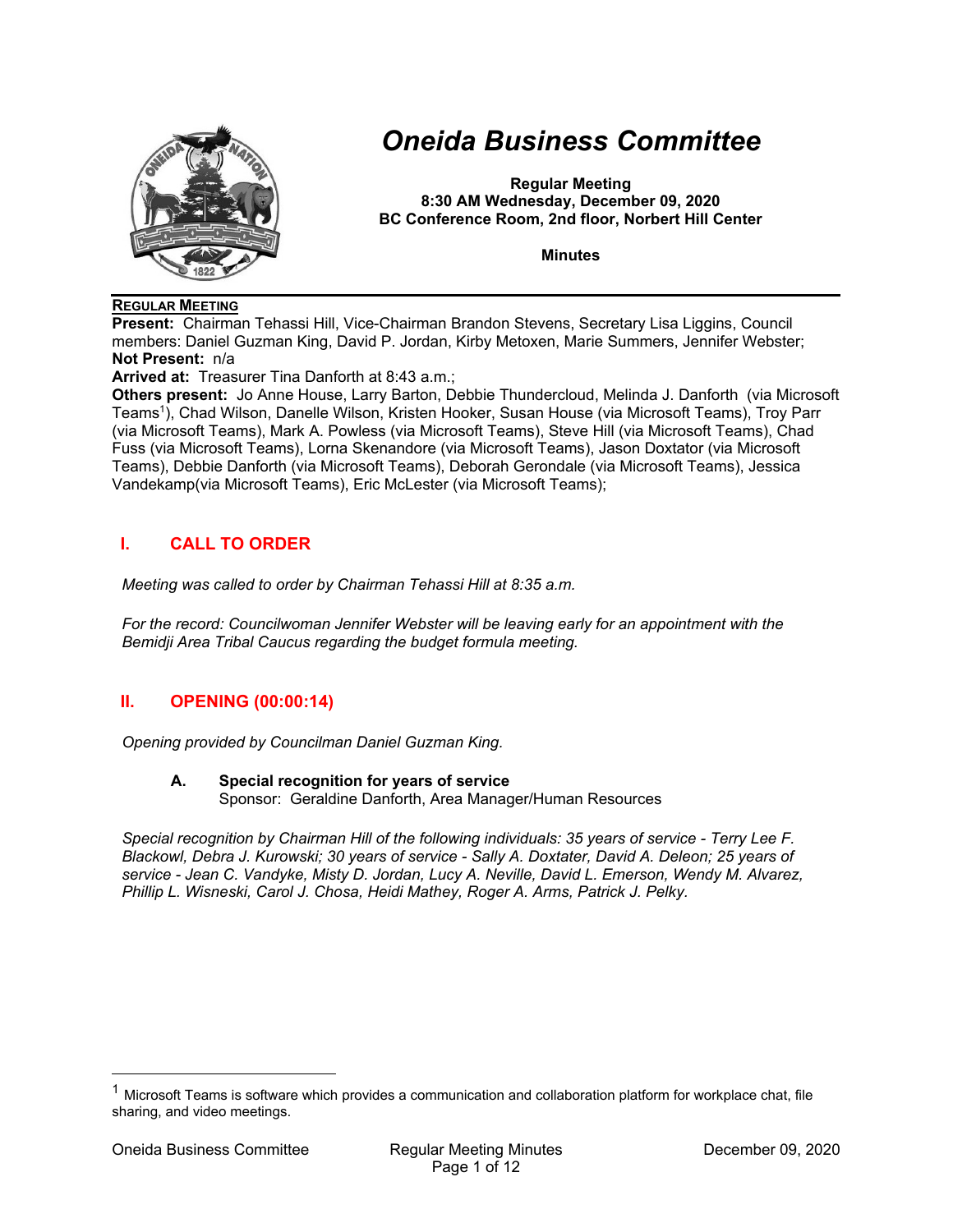

# *Oneida Business Committee*

**Regular Meeting 8:30 AM Wednesday, December 09, 2020 BC Conference Room, 2nd floor, Norbert Hill Center** 

**Minutes** 

### **REGULAR MEETING**

**Present:** Chairman Tehassi Hill, Vice-Chairman Brandon Stevens, Secretary Lisa Liggins, Council members: Daniel Guzman King, David P. Jordan, Kirby Metoxen, Marie Summers, Jennifer Webster; **Not Present:** n/a

**Arrived at:** Treasurer Tina Danforth at 8:43 a.m.;

**Others present:** Jo Anne House, Larry Barton, Debbie Thundercloud, Melinda J. Danforth (via Microsoft Teams1), Chad Wilson, Danelle Wilson, Kristen Hooker, Susan House (via Microsoft Teams), Troy Parr (via Microsoft Teams), Mark A. Powless (via Microsoft Teams), Steve Hill (via Microsoft Teams), Chad Fuss (via Microsoft Teams), Lorna Skenandore (via Microsoft Teams), Jason Doxtator (via Microsoft Teams), Debbie Danforth (via Microsoft Teams), Deborah Gerondale (via Microsoft Teams), Jessica Vandekamp(via Microsoft Teams), Eric McLester (via Microsoft Teams);

# **I. CALL TO ORDER**

*Meeting was called to order by Chairman Tehassi Hill at 8:35 a.m.* 

*For the record: Councilwoman Jennifer Webster will be leaving early for an appointment with the Bemidji Area Tribal Caucus regarding the budget formula meeting.* 

# **II. OPENING (00:00:14)**

*Opening provided by Councilman Daniel Guzman King.* 

#### **A. Special recognition for years of service**  Sponsor: Geraldine Danforth, Area Manager/Human Resources

*Special recognition by Chairman Hill of the following individuals: 35 years of service - Terry Lee F. Blackowl, Debra J. Kurowski; 30 years of service - Sally A. Doxtater, David A. Deleon; 25 years of service - Jean C. Vandyke, Misty D. Jordan, Lucy A. Neville, David L. Emerson, Wendy M. Alvarez, Phillip L. Wisneski, Carol J. Chosa, Heidi Mathey, Roger A. Arms, Patrick J. Pelky.* 

 $1$  Microsoft Teams is software which provides a communication and collaboration platform for workplace chat, file sharing, and video meetings.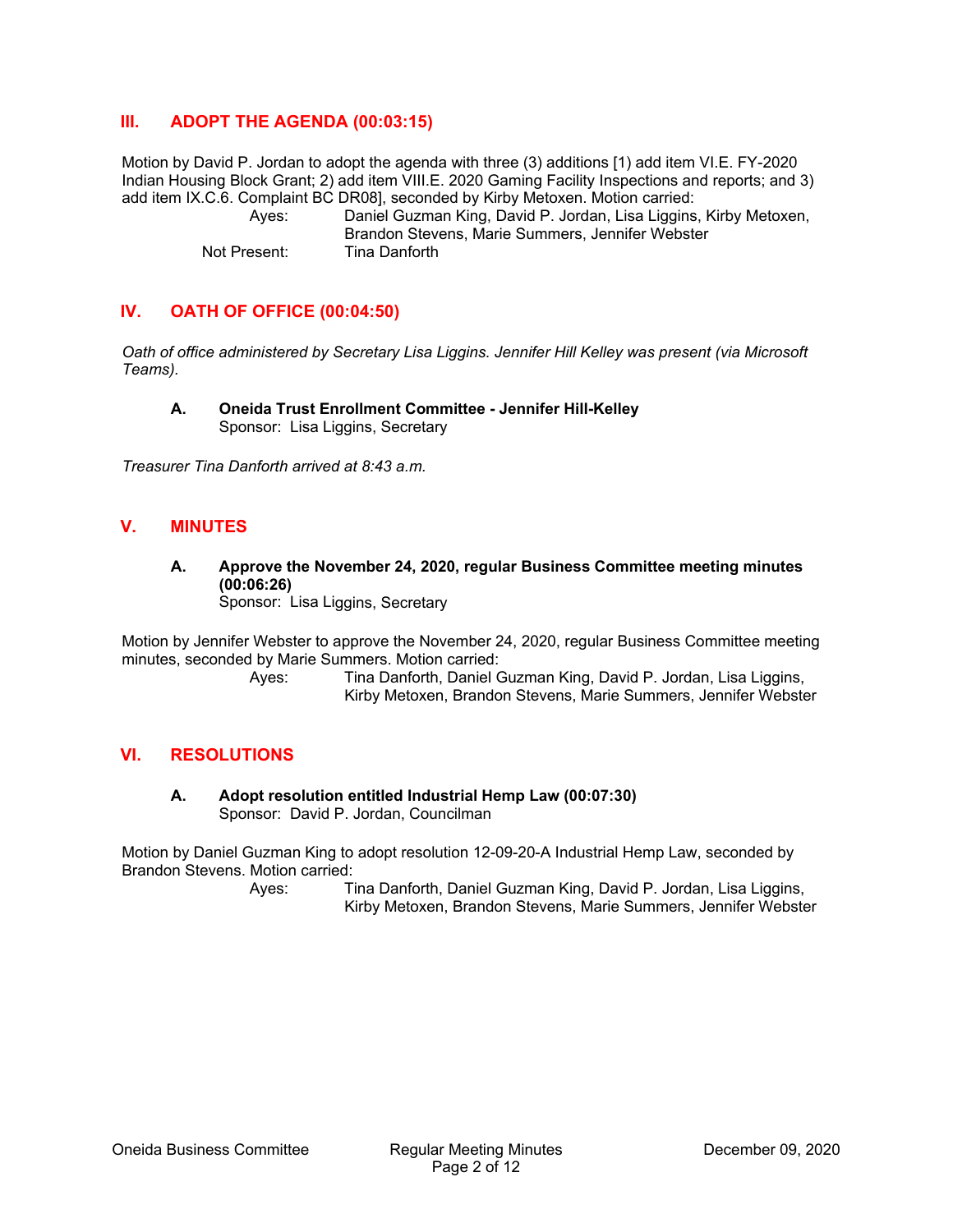## **III. ADOPT THE AGENDA (00:03:15)**

Motion by David P. Jordan to adopt the agenda with three (3) additions [1) add item VI.E. FY-2020 Indian Housing Block Grant; 2) add item VIII.E. 2020 Gaming Facility Inspections and reports; and 3) add item IX.C.6. Complaint BC DR08], seconded by Kirby Metoxen. Motion carried:

 Ayes: Daniel Guzman King, David P. Jordan, Lisa Liggins, Kirby Metoxen, Brandon Stevens, Marie Summers, Jennifer Webster Not Present: Tina Danforth

## **IV. OATH OF OFFICE (00:04:50)**

*Oath of office administered by Secretary Lisa Liggins. Jennifer Hill Kelley was present (via Microsoft Teams).* 

**A. Oneida Trust Enrollment Committee - Jennifer Hill-Kelley**  Sponsor: Lisa Liggins, Secretary

*Treasurer Tina Danforth arrived at 8:43 a.m.* 

### **V. MINUTES**

**A. Approve the November 24, 2020, regular Business Committee meeting minutes (00:06:26)**  Sponsor: Lisa Liggins, Secretary

Motion by Jennifer Webster to approve the November 24, 2020, regular Business Committee meeting minutes, seconded by Marie Summers. Motion carried:

 Ayes: Tina Danforth, Daniel Guzman King, David P. Jordan, Lisa Liggins, Kirby Metoxen, Brandon Stevens, Marie Summers, Jennifer Webster

### **VI. RESOLUTIONS**

**A. Adopt resolution entitled Industrial Hemp Law (00:07:30)**  Sponsor: David P. Jordan, Councilman

Motion by Daniel Guzman King to adopt resolution 12-09-20-A Industrial Hemp Law, seconded by Brandon Stevens. Motion carried: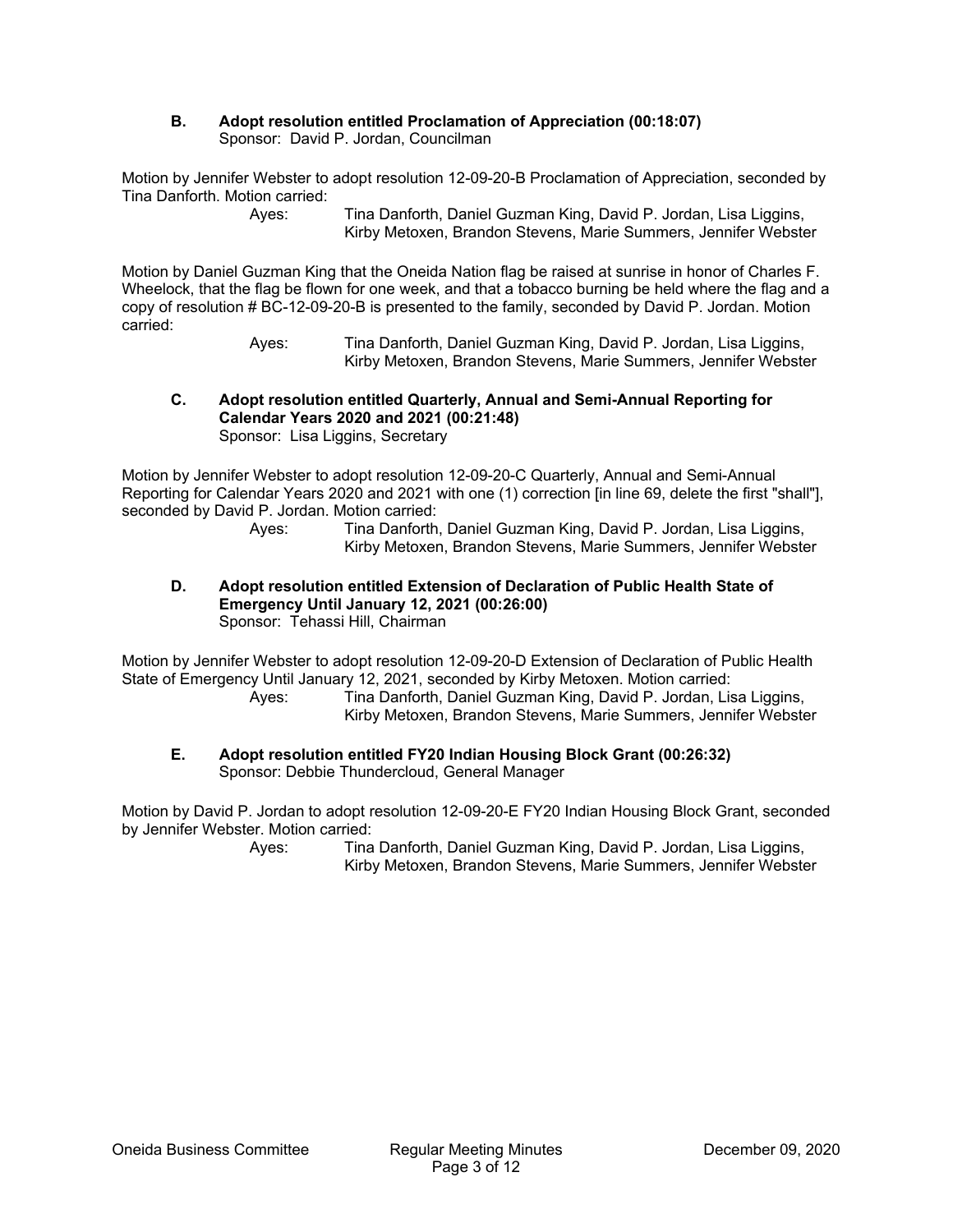### **B. Adopt resolution entitled Proclamation of Appreciation (00:18:07)**  Sponsor: David P. Jordan, Councilman

Motion by Jennifer Webster to adopt resolution 12-09-20-B Proclamation of Appreciation, seconded by Tina Danforth. Motion carried:

> Ayes: Tina Danforth, Daniel Guzman King, David P. Jordan, Lisa Liggins, Kirby Metoxen, Brandon Stevens, Marie Summers, Jennifer Webster

Motion by Daniel Guzman King that the Oneida Nation flag be raised at sunrise in honor of Charles F. Wheelock, that the flag be flown for one week, and that a tobacco burning be held where the flag and a copy of resolution # BC-12-09-20-B is presented to the family, seconded by David P. Jordan. Motion carried:

 Ayes: Tina Danforth, Daniel Guzman King, David P. Jordan, Lisa Liggins, Kirby Metoxen, Brandon Stevens, Marie Summers, Jennifer Webster

#### **C. Adopt resolution entitled Quarterly, Annual and Semi-Annual Reporting for Calendar Years 2020 and 2021 (00:21:48)**  Sponsor: Lisa Liggins, Secretary

Motion by Jennifer Webster to adopt resolution 12-09-20-C Quarterly, Annual and Semi-Annual Reporting for Calendar Years 2020 and 2021 with one (1) correction [in line 69, delete the first "shall"], seconded by David P. Jordan. Motion carried:

 Ayes: Tina Danforth, Daniel Guzman King, David P. Jordan, Lisa Liggins, Kirby Metoxen, Brandon Stevens, Marie Summers, Jennifer Webster

### **D. Adopt resolution entitled Extension of Declaration of Public Health State of Emergency Until January 12, 2021 (00:26:00)**  Sponsor: Tehassi Hill, Chairman

Motion by Jennifer Webster to adopt resolution 12-09-20-D Extension of Declaration of Public Health State of Emergency Until January 12, 2021, seconded by Kirby Metoxen. Motion carried:

 Ayes: Tina Danforth, Daniel Guzman King, David P. Jordan, Lisa Liggins, Kirby Metoxen, Brandon Stevens, Marie Summers, Jennifer Webster

### **E. Adopt resolution entitled FY20 Indian Housing Block Grant (00:26:32)**  Sponsor: Debbie Thundercloud, General Manager

Motion by David P. Jordan to adopt resolution 12-09-20-E FY20 Indian Housing Block Grant, seconded by Jennifer Webster. Motion carried: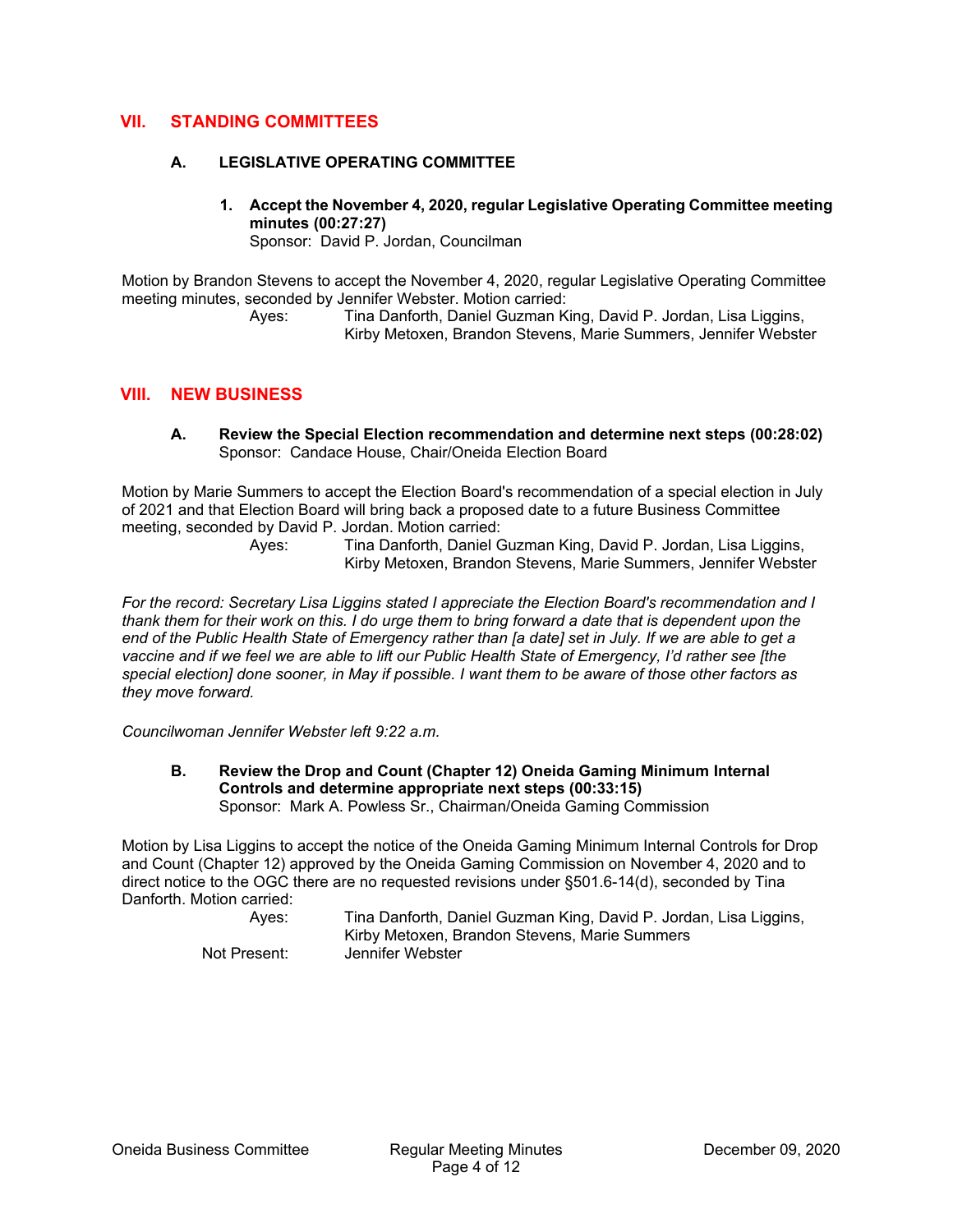# **VII. STANDING COMMITTEES**

### **A. LEGISLATIVE OPERATING COMMITTEE**

**1. Accept the November 4, 2020, regular Legislative Operating Committee meeting minutes (00:27:27)** 

Sponsor: David P. Jordan, Councilman

Motion by Brandon Stevens to accept the November 4, 2020, regular Legislative Operating Committee meeting minutes, seconded by Jennifer Webster. Motion carried:

> Ayes: Tina Danforth, Daniel Guzman King, David P. Jordan, Lisa Liggins, Kirby Metoxen, Brandon Stevens, Marie Summers, Jennifer Webster

### **VIII. NEW BUSINESS**

**A. Review the Special Election recommendation and determine next steps (00:28:02)**  Sponsor: Candace House, Chair/Oneida Election Board

Motion by Marie Summers to accept the Election Board's recommendation of a special election in July of 2021 and that Election Board will bring back a proposed date to a future Business Committee meeting, seconded by David P. Jordan. Motion carried:

 Ayes: Tina Danforth, Daniel Guzman King, David P. Jordan, Lisa Liggins, Kirby Metoxen, Brandon Stevens, Marie Summers, Jennifer Webster

*For the record: Secretary Lisa Liggins stated I appreciate the Election Board's recommendation and I thank them for their work on this. I do urge them to bring forward a date that is dependent upon the end of the Public Health State of Emergency rather than [a date] set in July. If we are able to get a vaccine and if we feel we are able to lift our Public Health State of Emergency, I'd rather see [the special election] done sooner, in May if possible. I want them to be aware of those other factors as they move forward.* 

*Councilwoman Jennifer Webster left 9:22 a.m.* 

**B. Review the Drop and Count (Chapter 12) Oneida Gaming Minimum Internal Controls and determine appropriate next steps (00:33:15)**  Sponsor: Mark A. Powless Sr., Chairman/Oneida Gaming Commission

Motion by Lisa Liggins to accept the notice of the Oneida Gaming Minimum Internal Controls for Drop and Count (Chapter 12) approved by the Oneida Gaming Commission on November 4, 2020 and to direct notice to the OGC there are no requested revisions under §501.6-14(d), seconded by Tina Danforth. Motion carried: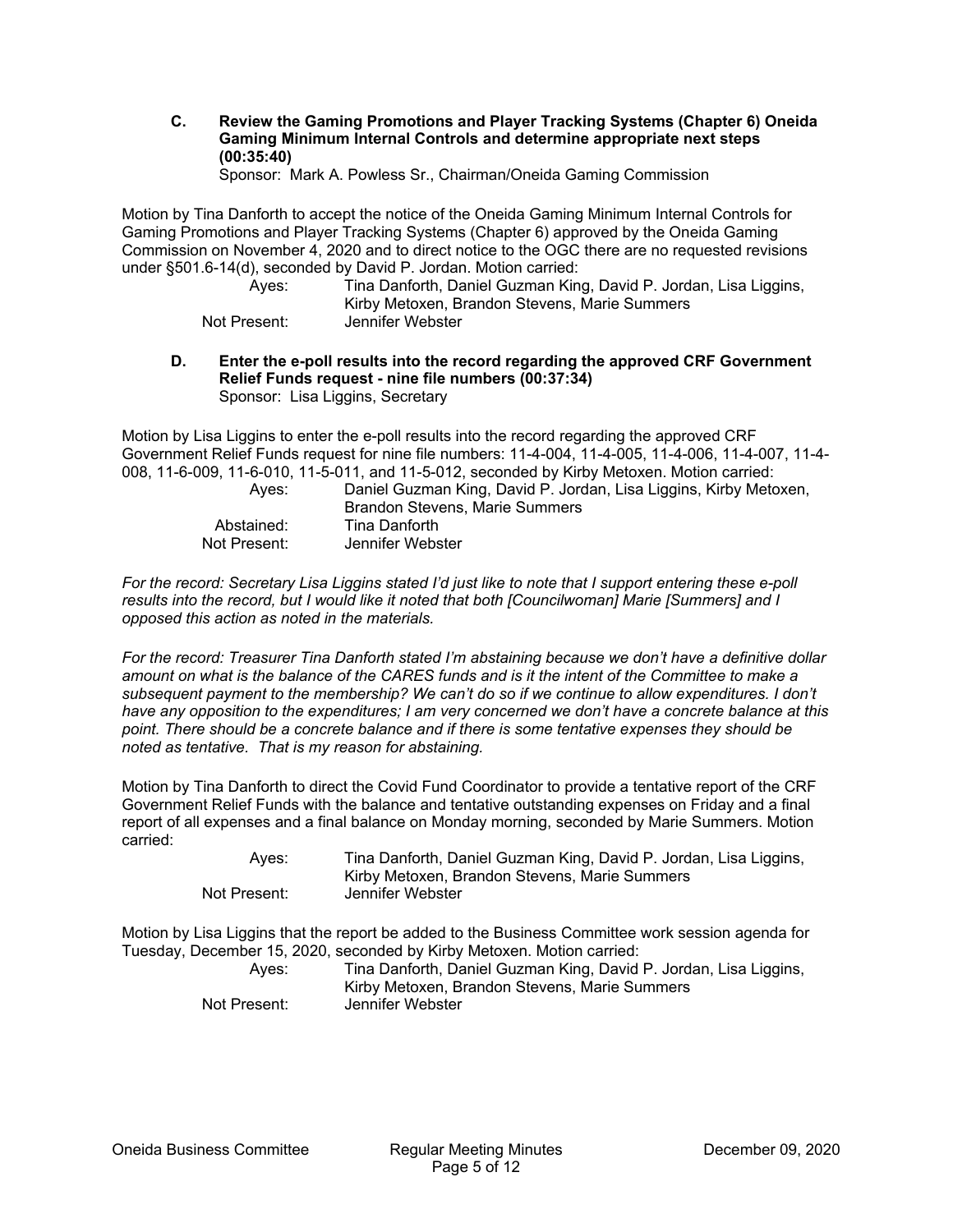**C. Review the Gaming Promotions and Player Tracking Systems (Chapter 6) Oneida Gaming Minimum Internal Controls and determine appropriate next steps (00:35:40)** 

Sponsor: Mark A. Powless Sr., Chairman/Oneida Gaming Commission

Motion by Tina Danforth to accept the notice of the Oneida Gaming Minimum Internal Controls for Gaming Promotions and Player Tracking Systems (Chapter 6) approved by the Oneida Gaming Commission on November 4, 2020 and to direct notice to the OGC there are no requested revisions under §501.6-14(d), seconded by David P. Jordan. Motion carried:

| .            |                                                                   |
|--------------|-------------------------------------------------------------------|
| Aves:        | Tina Danforth, Daniel Guzman King, David P. Jordan, Lisa Liggins, |
|              | Kirby Metoxen, Brandon Stevens, Marie Summers                     |
| Not Present: | Jennifer Webster                                                  |

**D. Enter the e-poll results into the record regarding the approved CRF Government Relief Funds request - nine file numbers (00:37:34)**  Sponsor: Lisa Liggins, Secretary

Motion by Lisa Liggins to enter the e-poll results into the record regarding the approved CRF Government Relief Funds request for nine file numbers: 11-4-004, 11-4-005, 11-4-006, 11-4-007, 11-4- 008, 11-6-009, 11-6-010, 11-5-011, and 11-5-012, seconded by Kirby Metoxen. Motion carried:

| Aves:        | Daniel Guzman King, David P. Jordan, Lisa Liggins, Kirby Metoxen,<br>Brandon Stevens, Marie Summers |
|--------------|-----------------------------------------------------------------------------------------------------|
| Abstained:   | Tina Danforth                                                                                       |
| Not Present: | Jennifer Webster                                                                                    |

*For the record: Secretary Lisa Liggins stated I'd just like to note that I support entering these e-poll results into the record, but I would like it noted that both [Councilwoman] Marie [Summers] and I opposed this action as noted in the materials.* 

*For the record: Treasurer Tina Danforth stated I'm abstaining because we don't have a definitive dollar amount on what is the balance of the CARES funds and is it the intent of the Committee to make a subsequent payment to the membership? We can't do so if we continue to allow expenditures. I don't have any opposition to the expenditures; I am very concerned we don't have a concrete balance at this point. There should be a concrete balance and if there is some tentative expenses they should be noted as tentative. That is my reason for abstaining.* 

Motion by Tina Danforth to direct the Covid Fund Coordinator to provide a tentative report of the CRF Government Relief Funds with the balance and tentative outstanding expenses on Friday and a final report of all expenses and a final balance on Monday morning, seconded by Marie Summers. Motion carried:

| Aves:        | Tina Danforth, Daniel Guzman King, David P. Jordan, Lisa Liggins, |
|--------------|-------------------------------------------------------------------|
|              | Kirby Metoxen, Brandon Stevens, Marie Summers                     |
| Not Present: | Jennifer Webster                                                  |

Motion by Lisa Liggins that the report be added to the Business Committee work session agenda for Tuesday, December 15, 2020, seconded by Kirby Metoxen. Motion carried:

| Ayes:        | Tina Danforth, Daniel Guzman King, David P. Jordan, Lisa Liggins, |
|--------------|-------------------------------------------------------------------|
|              | Kirby Metoxen, Brandon Stevens, Marie Summers                     |
| Not Present: | Jennifer Webster                                                  |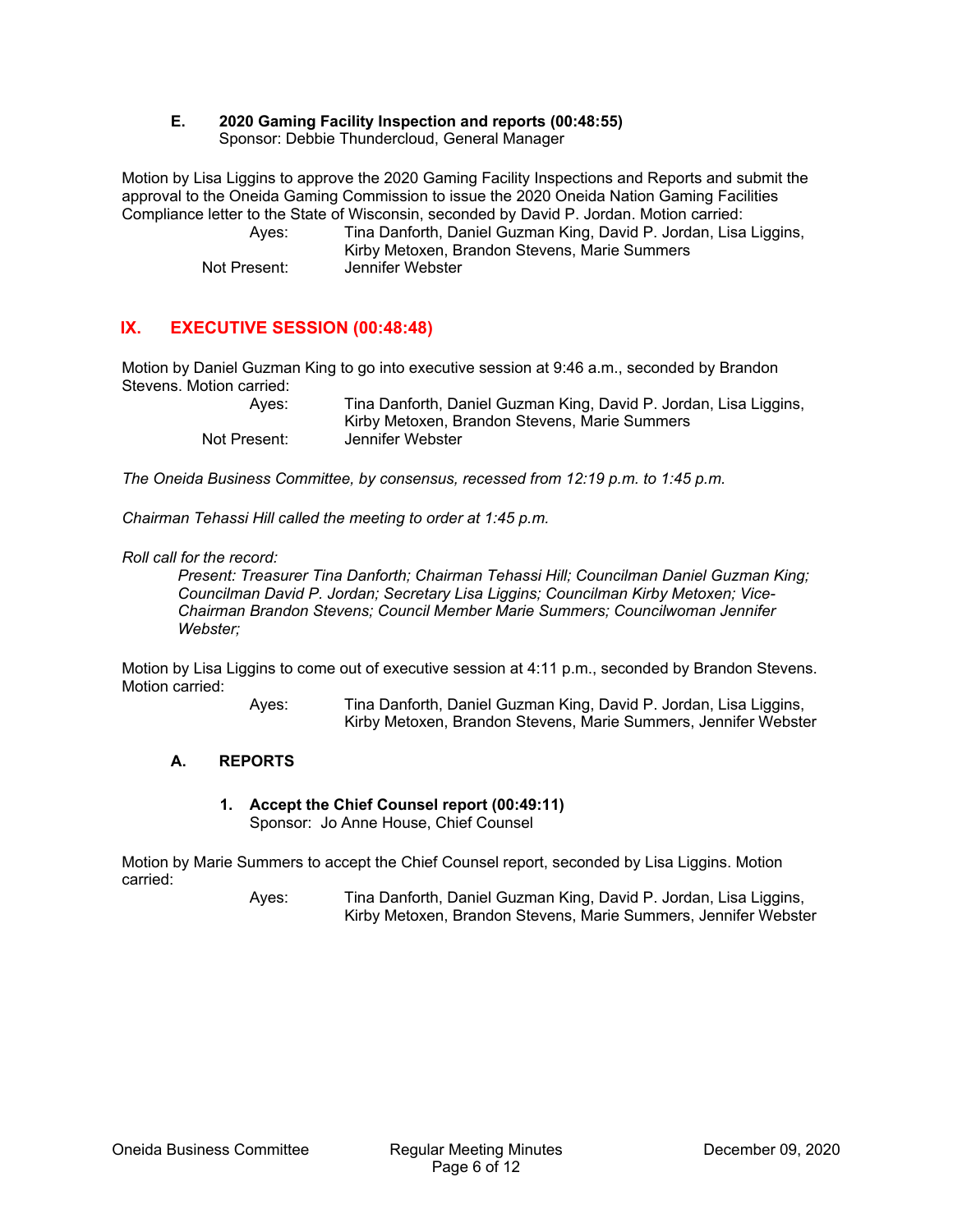# **E. 2020 Gaming Facility Inspection and reports (00:48:55)**

Sponsor: Debbie Thundercloud, General Manager

Motion by Lisa Liggins to approve the 2020 Gaming Facility Inspections and Reports and submit the approval to the Oneida Gaming Commission to issue the 2020 Oneida Nation Gaming Facilities Compliance letter to the State of Wisconsin, seconded by David P. Jordan. Motion carried:

 Ayes: Tina Danforth, Daniel Guzman King, David P. Jordan, Lisa Liggins, Kirby Metoxen, Brandon Stevens, Marie Summers Not Present: Jennifer Webster

# **IX. EXECUTIVE SESSION (00:48:48)**

Motion by Daniel Guzman King to go into executive session at 9:46 a.m., seconded by Brandon Stevens. Motion carried:

 Ayes: Tina Danforth, Daniel Guzman King, David P. Jordan, Lisa Liggins, Kirby Metoxen, Brandon Stevens, Marie Summers Not Present: Jennifer Webster

*The Oneida Business Committee, by consensus, recessed from 12:19 p.m. to 1:45 p.m.* 

*Chairman Tehassi Hill called the meeting to order at 1:45 p.m.* 

### *Roll call for the record:*

 *Present: Treasurer Tina Danforth; Chairman Tehassi Hill; Councilman Daniel Guzman King; Councilman David P. Jordan; Secretary Lisa Liggins; Councilman Kirby Metoxen; Vice- Chairman Brandon Stevens; Council Member Marie Summers; Councilwoman Jennifer Webster;* 

Motion by Lisa Liggins to come out of executive session at 4:11 p.m., seconded by Brandon Stevens. Motion carried:

 Ayes: Tina Danforth, Daniel Guzman King, David P. Jordan, Lisa Liggins, Kirby Metoxen, Brandon Stevens, Marie Summers, Jennifer Webster

### **A. REPORTS**

**1. Accept the Chief Counsel report (00:49:11)**  Sponsor: Jo Anne House, Chief Counsel

Motion by Marie Summers to accept the Chief Counsel report, seconded by Lisa Liggins. Motion carried: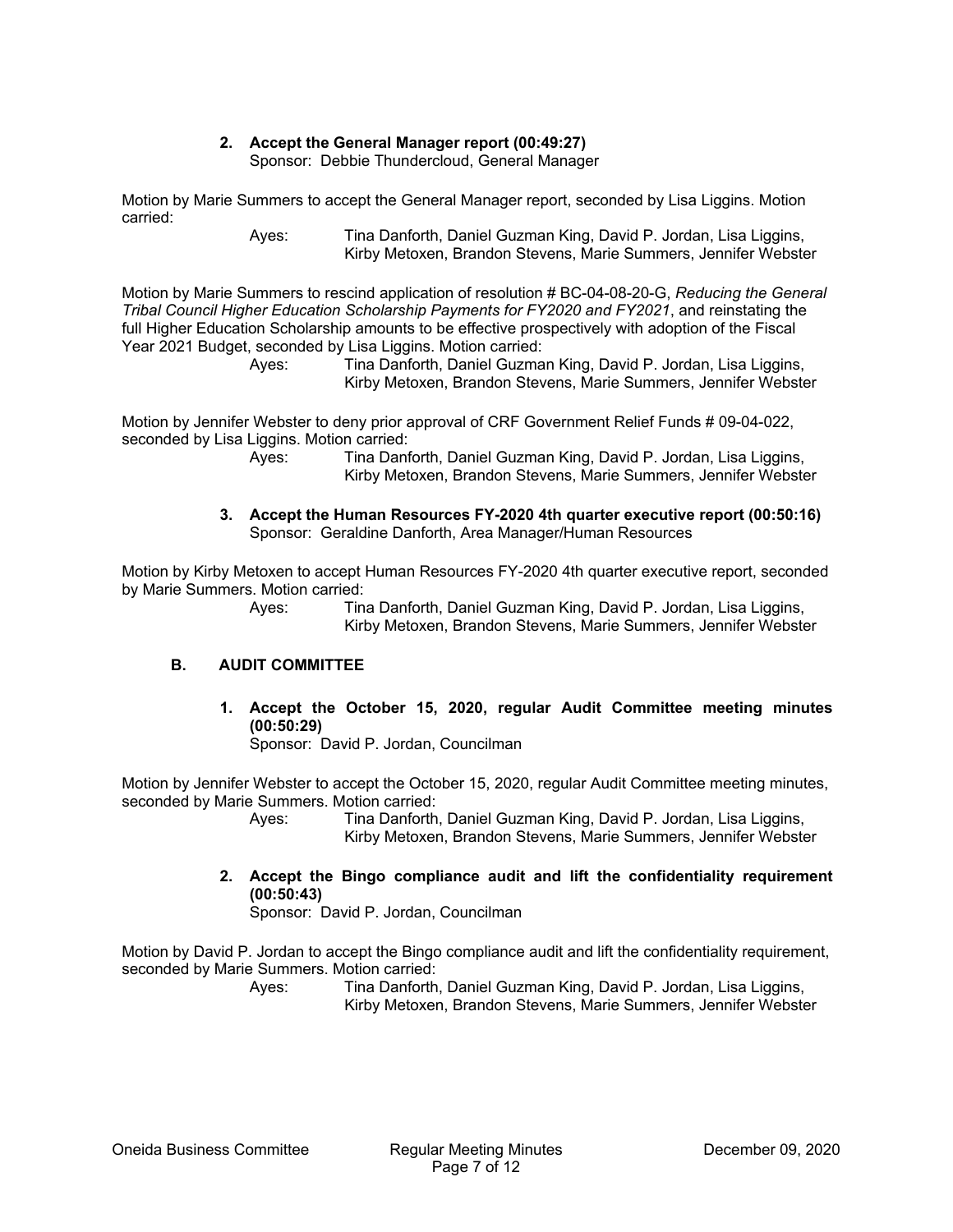### **2. Accept the General Manager report (00:49:27)**

Sponsor: Debbie Thundercloud, General Manager

Motion by Marie Summers to accept the General Manager report, seconded by Lisa Liggins. Motion carried:

 Ayes: Tina Danforth, Daniel Guzman King, David P. Jordan, Lisa Liggins, Kirby Metoxen, Brandon Stevens, Marie Summers, Jennifer Webster

Motion by Marie Summers to rescind application of resolution # BC-04-08-20-G, *Reducing the General Tribal Council Higher Education Scholarship Payments for FY2020 and FY2021*, and reinstating the full Higher Education Scholarship amounts to be effective prospectively with adoption of the Fiscal Year 2021 Budget, seconded by Lisa Liggins. Motion carried:

> Ayes: Tina Danforth, Daniel Guzman King, David P. Jordan, Lisa Liggins, Kirby Metoxen, Brandon Stevens, Marie Summers, Jennifer Webster

Motion by Jennifer Webster to deny prior approval of CRF Government Relief Funds # 09-04-022, seconded by Lisa Liggins. Motion carried:

 Ayes: Tina Danforth, Daniel Guzman King, David P. Jordan, Lisa Liggins, Kirby Metoxen, Brandon Stevens, Marie Summers, Jennifer Webster

#### **3. Accept the Human Resources FY-2020 4th quarter executive report (00:50:16)**  Sponsor: Geraldine Danforth, Area Manager/Human Resources

Motion by Kirby Metoxen to accept Human Resources FY-2020 4th quarter executive report, seconded by Marie Summers. Motion carried:

> Ayes: Tina Danforth, Daniel Guzman King, David P. Jordan, Lisa Liggins, Kirby Metoxen, Brandon Stevens, Marie Summers, Jennifer Webster

### **B. AUDIT COMMITTEE**

**1. Accept the October 15, 2020, regular Audit Committee meeting minutes (00:50:29)** 

Sponsor: David P. Jordan, Councilman

Motion by Jennifer Webster to accept the October 15, 2020, regular Audit Committee meeting minutes, seconded by Marie Summers. Motion carried:

> Ayes: Tina Danforth, Daniel Guzman King, David P. Jordan, Lisa Liggins, Kirby Metoxen, Brandon Stevens, Marie Summers, Jennifer Webster

**2. Accept the Bingo compliance audit and lift the confidentiality requirement (00:50:43)** 

Sponsor: David P. Jordan, Councilman

Motion by David P. Jordan to accept the Bingo compliance audit and lift the confidentiality requirement, seconded by Marie Summers. Motion carried: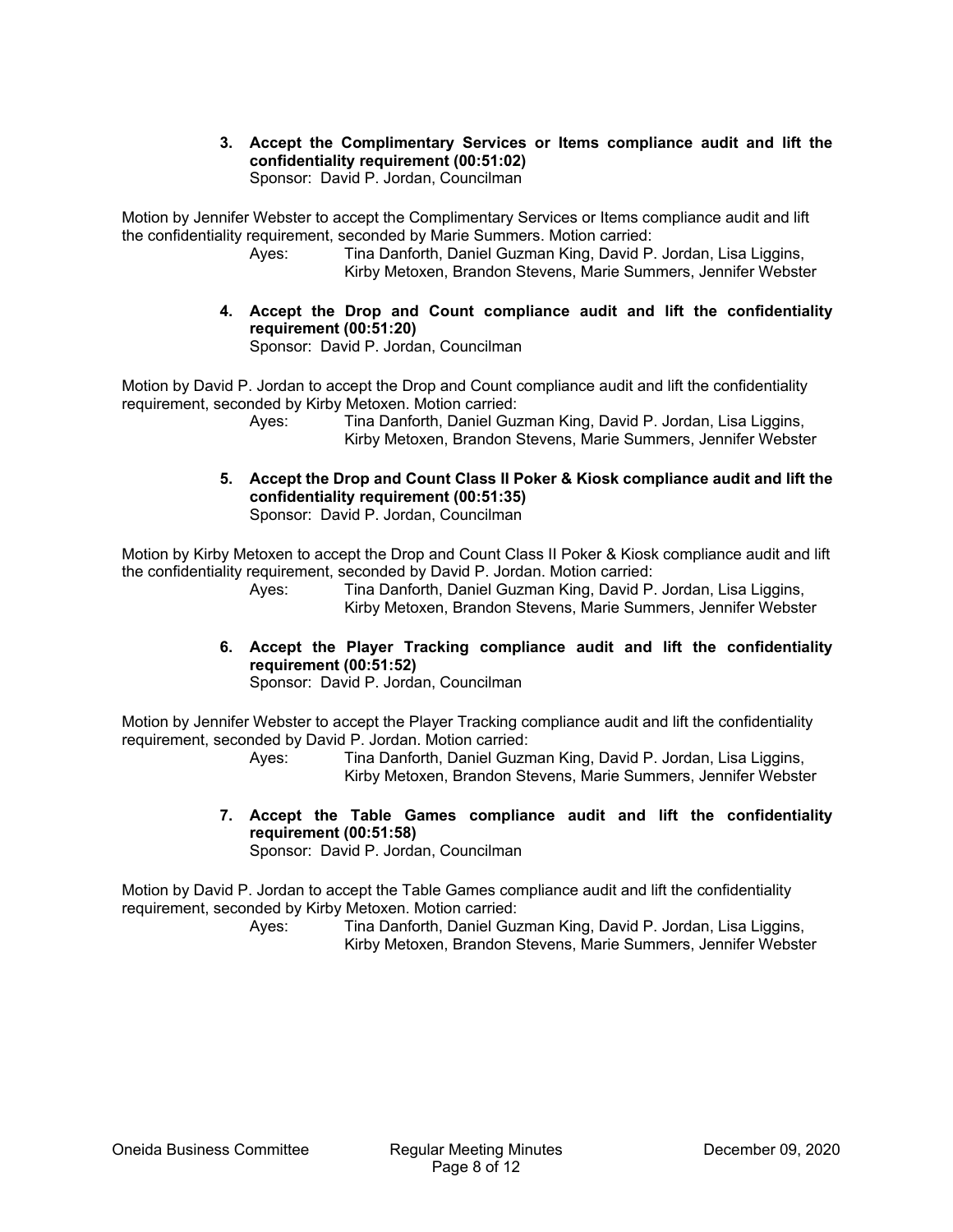**3. Accept the Complimentary Services or Items compliance audit and lift the confidentiality requirement (00:51:02)** 

Sponsor: David P. Jordan, Councilman

Motion by Jennifer Webster to accept the Complimentary Services or Items compliance audit and lift the confidentiality requirement, seconded by Marie Summers. Motion carried:

 Ayes: Tina Danforth, Daniel Guzman King, David P. Jordan, Lisa Liggins, Kirby Metoxen, Brandon Stevens, Marie Summers, Jennifer Webster

**4. Accept the Drop and Count compliance audit and lift the confidentiality requirement (00:51:20)**  Sponsor: David P. Jordan, Councilman

Motion by David P. Jordan to accept the Drop and Count compliance audit and lift the confidentiality

requirement, seconded by Kirby Metoxen. Motion carried:

 Ayes: Tina Danforth, Daniel Guzman King, David P. Jordan, Lisa Liggins, Kirby Metoxen, Brandon Stevens, Marie Summers, Jennifer Webster

**5. Accept the Drop and Count Class II Poker & Kiosk compliance audit and lift the confidentiality requirement (00:51:35)** 

Sponsor: David P. Jordan, Councilman

Motion by Kirby Metoxen to accept the Drop and Count Class II Poker & Kiosk compliance audit and lift the confidentiality requirement, seconded by David P. Jordan. Motion carried:

 Ayes: Tina Danforth, Daniel Guzman King, David P. Jordan, Lisa Liggins, Kirby Metoxen, Brandon Stevens, Marie Summers, Jennifer Webster

**6. Accept the Player Tracking compliance audit and lift the confidentiality requirement (00:51:52)** 

Sponsor: David P. Jordan, Councilman

Motion by Jennifer Webster to accept the Player Tracking compliance audit and lift the confidentiality requirement, seconded by David P. Jordan. Motion carried:

 Ayes: Tina Danforth, Daniel Guzman King, David P. Jordan, Lisa Liggins, Kirby Metoxen, Brandon Stevens, Marie Summers, Jennifer Webster

**7. Accept the Table Games compliance audit and lift the confidentiality requirement (00:51:58)** 

Sponsor: David P. Jordan, Councilman

Motion by David P. Jordan to accept the Table Games compliance audit and lift the confidentiality requirement, seconded by Kirby Metoxen. Motion carried: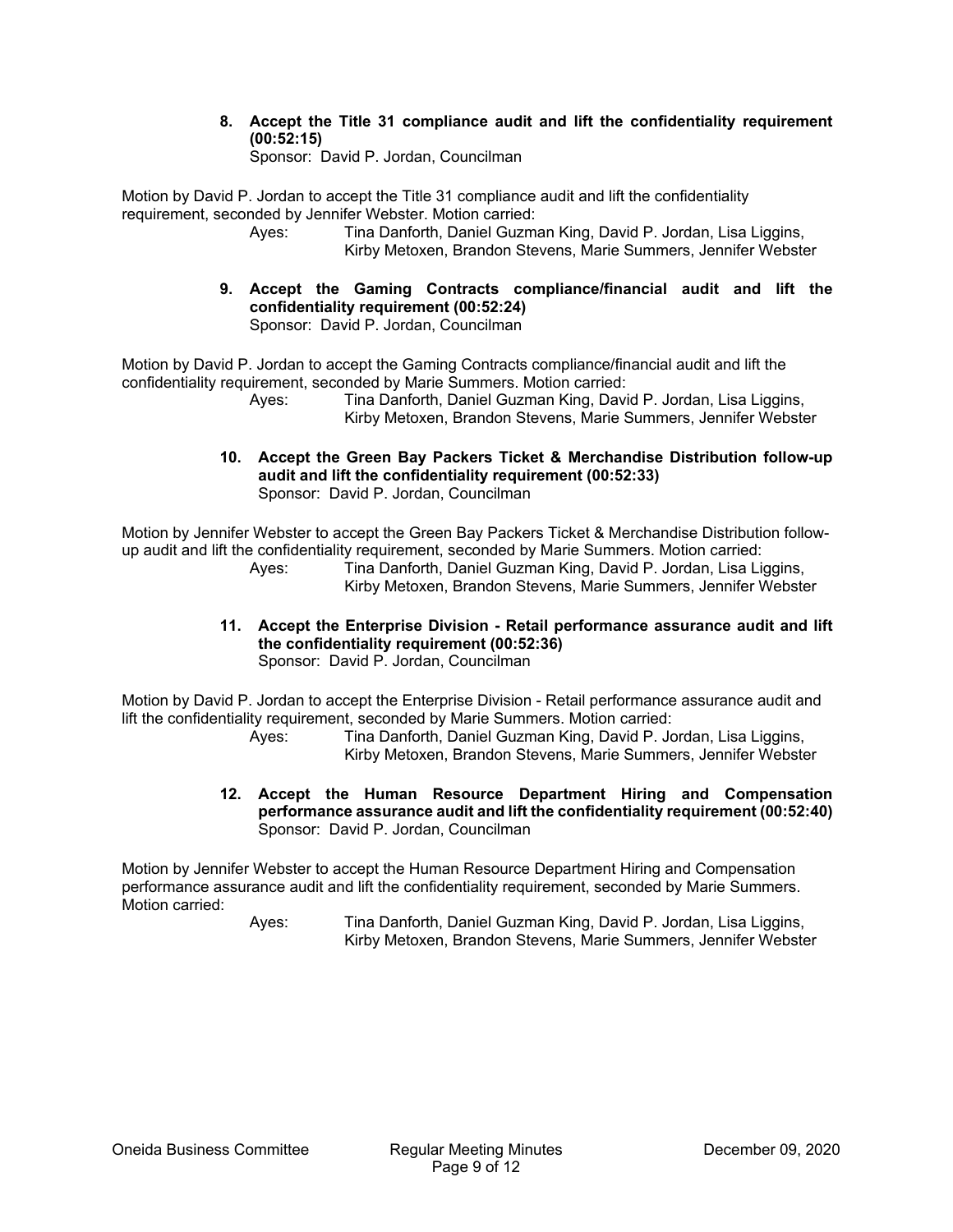**8. Accept the Title 31 compliance audit and lift the confidentiality requirement (00:52:15)** 

Sponsor: David P. Jordan, Councilman

Motion by David P. Jordan to accept the Title 31 compliance audit and lift the confidentiality requirement, seconded by Jennifer Webster. Motion carried:

- Ayes: Tina Danforth, Daniel Guzman King, David P. Jordan, Lisa Liggins, Kirby Metoxen, Brandon Stevens, Marie Summers, Jennifer Webster
- **9. Accept the Gaming Contracts compliance/financial audit and lift the confidentiality requirement (00:52:24)**  Sponsor: David P. Jordan, Councilman

Motion by David P. Jordan to accept the Gaming Contracts compliance/financial audit and lift the confidentiality requirement, seconded by Marie Summers. Motion carried:

 Ayes: Tina Danforth, Daniel Guzman King, David P. Jordan, Lisa Liggins, Kirby Metoxen, Brandon Stevens, Marie Summers, Jennifer Webster

**10. Accept the Green Bay Packers Ticket & Merchandise Distribution follow-up audit and lift the confidentiality requirement (00:52:33)**  Sponsor: David P. Jordan, Councilman

Motion by Jennifer Webster to accept the Green Bay Packers Ticket & Merchandise Distribution followup audit and lift the confidentiality requirement, seconded by Marie Summers. Motion carried: Ayes: Tina Danforth, Daniel Guzman King, David P. Jordan, Lisa Liggins,

Kirby Metoxen, Brandon Stevens, Marie Summers, Jennifer Webster

**11. Accept the Enterprise Division - Retail performance assurance audit and lift the confidentiality requirement (00:52:36)**  Sponsor: David P. Jordan, Councilman

Motion by David P. Jordan to accept the Enterprise Division - Retail performance assurance audit and lift the confidentiality requirement, seconded by Marie Summers. Motion carried:

 Ayes: Tina Danforth, Daniel Guzman King, David P. Jordan, Lisa Liggins, Kirby Metoxen, Brandon Stevens, Marie Summers, Jennifer Webster

**12. Accept the Human Resource Department Hiring and Compensation performance assurance audit and lift the confidentiality requirement (00:52:40)**  Sponsor: David P. Jordan, Councilman

Motion by Jennifer Webster to accept the Human Resource Department Hiring and Compensation performance assurance audit and lift the confidentiality requirement, seconded by Marie Summers. Motion carried: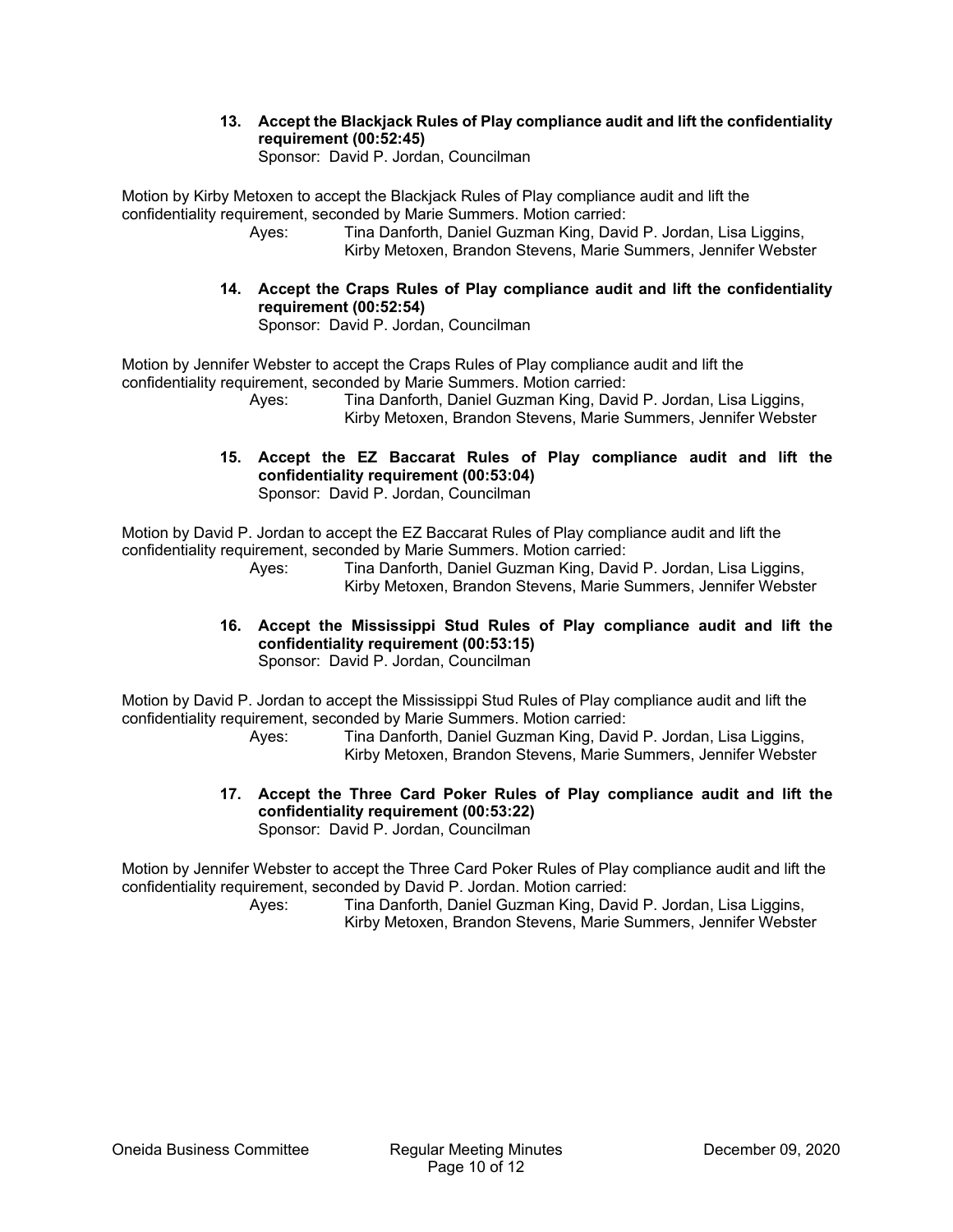### **13. Accept the Blackjack Rules of Play compliance audit and lift the confidentiality requirement (00:52:45)**

Sponsor: David P. Jordan, Councilman

Motion by Kirby Metoxen to accept the Blackjack Rules of Play compliance audit and lift the confidentiality requirement, seconded by Marie Summers. Motion carried:

- Ayes: Tina Danforth, Daniel Guzman King, David P. Jordan, Lisa Liggins, Kirby Metoxen, Brandon Stevens, Marie Summers, Jennifer Webster
- **14. Accept the Craps Rules of Play compliance audit and lift the confidentiality requirement (00:52:54)**  Sponsor: David P. Jordan, Councilman

Motion by Jennifer Webster to accept the Craps Rules of Play compliance audit and lift the confidentiality requirement, seconded by Marie Summers. Motion carried:

 Ayes: Tina Danforth, Daniel Guzman King, David P. Jordan, Lisa Liggins, Kirby Metoxen, Brandon Stevens, Marie Summers, Jennifer Webster

**15. Accept the EZ Baccarat Rules of Play compliance audit and lift the confidentiality requirement (00:53:04)**  Sponsor: David P. Jordan, Councilman

Motion by David P. Jordan to accept the EZ Baccarat Rules of Play compliance audit and lift the confidentiality requirement, seconded by Marie Summers. Motion carried:

 Ayes: Tina Danforth, Daniel Guzman King, David P. Jordan, Lisa Liggins, Kirby Metoxen, Brandon Stevens, Marie Summers, Jennifer Webster

#### **16. Accept the Mississippi Stud Rules of Play compliance audit and lift the confidentiality requirement (00:53:15)**  Sponsor: David P. Jordan, Councilman

Motion by David P. Jordan to accept the Mississippi Stud Rules of Play compliance audit and lift the confidentiality requirement, seconded by Marie Summers. Motion carried:

 Ayes: Tina Danforth, Daniel Guzman King, David P. Jordan, Lisa Liggins, Kirby Metoxen, Brandon Stevens, Marie Summers, Jennifer Webster

**17. Accept the Three Card Poker Rules of Play compliance audit and lift the confidentiality requirement (00:53:22)**  Sponsor: David P. Jordan, Councilman

Motion by Jennifer Webster to accept the Three Card Poker Rules of Play compliance audit and lift the confidentiality requirement, seconded by David P. Jordan. Motion carried: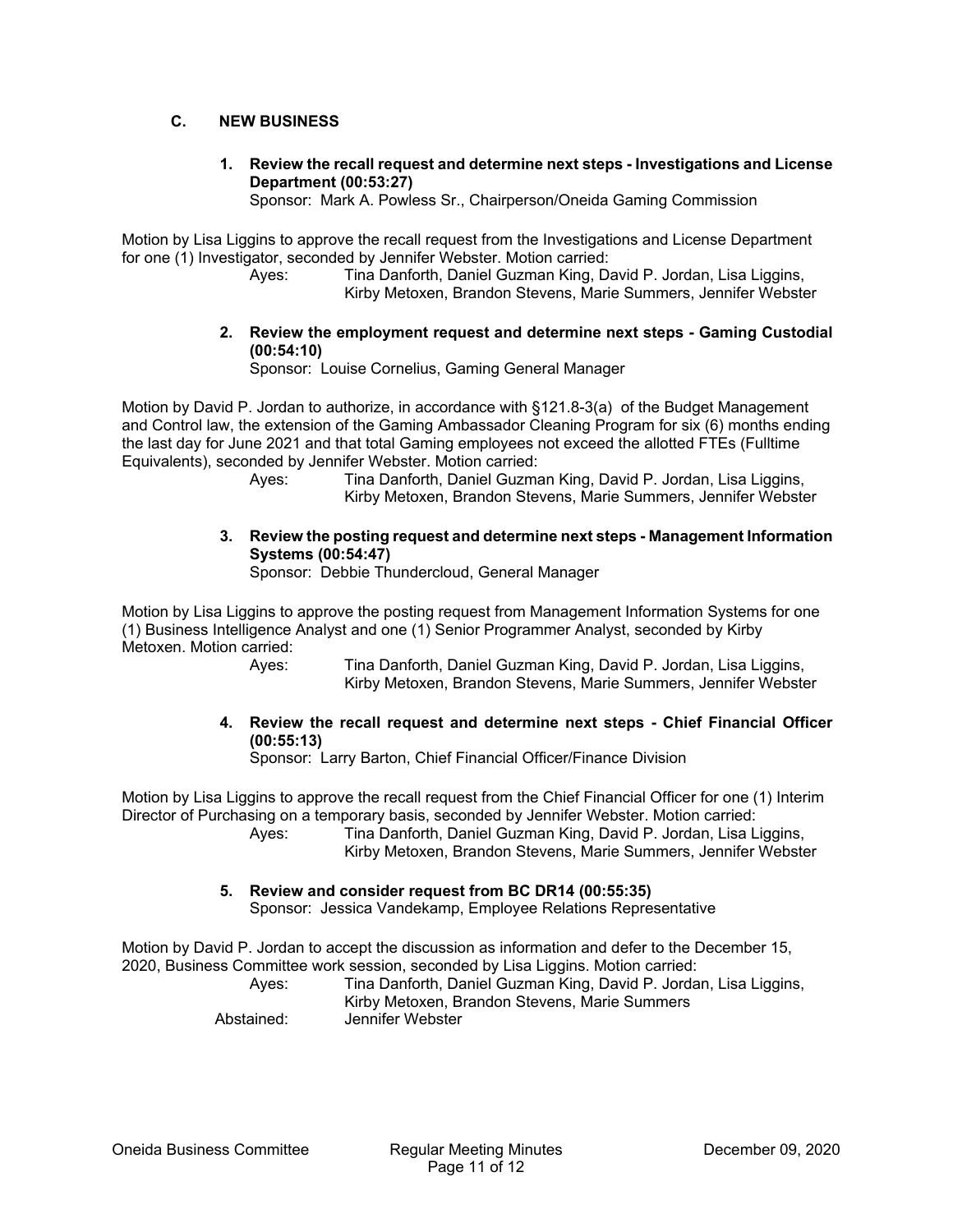### **C. NEW BUSINESS**

**1. Review the recall request and determine next steps - Investigations and License Department (00:53:27)** 

Sponsor: Mark A. Powless Sr., Chairperson/Oneida Gaming Commission

Motion by Lisa Liggins to approve the recall request from the Investigations and License Department for one (1) Investigator, seconded by Jennifer Webster. Motion carried:

> Ayes: Tina Danforth, Daniel Guzman King, David P. Jordan, Lisa Liggins, Kirby Metoxen, Brandon Stevens, Marie Summers, Jennifer Webster

**2. Review the employment request and determine next steps - Gaming Custodial (00:54:10)** 

Sponsor: Louise Cornelius, Gaming General Manager

Motion by David P. Jordan to authorize, in accordance with §121.8-3(a) of the Budget Management and Control law, the extension of the Gaming Ambassador Cleaning Program for six (6) months ending the last day for June 2021 and that total Gaming employees not exceed the allotted FTEs (Fulltime Equivalents), seconded by Jennifer Webster. Motion carried:

 Ayes: Tina Danforth, Daniel Guzman King, David P. Jordan, Lisa Liggins, Kirby Metoxen, Brandon Stevens, Marie Summers, Jennifer Webster

### **3. Review the posting request and determine next steps - Management Information Systems (00:54:47)**

Sponsor: Debbie Thundercloud, General Manager

Motion by Lisa Liggins to approve the posting request from Management Information Systems for one (1) Business Intelligence Analyst and one (1) Senior Programmer Analyst, seconded by Kirby Metoxen. Motion carried:

 Ayes: Tina Danforth, Daniel Guzman King, David P. Jordan, Lisa Liggins, Kirby Metoxen, Brandon Stevens, Marie Summers, Jennifer Webster

**4. Review the recall request and determine next steps - Chief Financial Officer (00:55:13)** 

Sponsor: Larry Barton, Chief Financial Officer/Finance Division

Motion by Lisa Liggins to approve the recall request from the Chief Financial Officer for one (1) Interim Director of Purchasing on a temporary basis, seconded by Jennifer Webster. Motion carried: Ayes: Tina Danforth, Daniel Guzman King, David P. Jordan, Lisa Liggins,

Kirby Metoxen, Brandon Stevens, Marie Summers, Jennifer Webster

### **5. Review and consider request from BC DR14 (00:55:35)**

Sponsor: Jessica Vandekamp, Employee Relations Representative

Motion by David P. Jordan to accept the discussion as information and defer to the December 15, 2020, Business Committee work session, seconded by Lisa Liggins. Motion carried: Ayes: Tina Danforth, Daniel Guzman King, David P. Jordan, Lisa Liggins, Kirby Metoxen, Brandon Stevens, Marie Summers